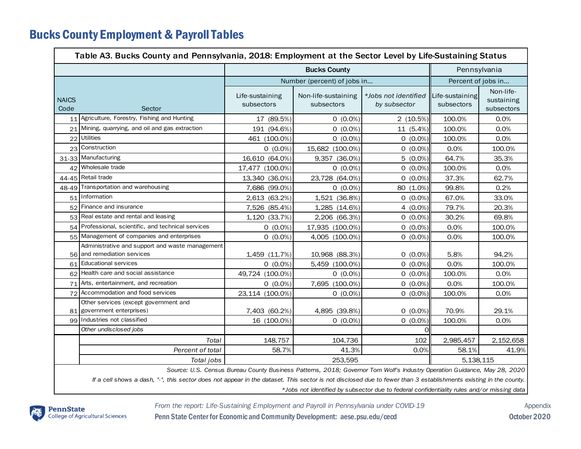## Bucks County Employment & Payroll Tables

| Table A3. Bucks County and Pennsylvania, 2018: Employment at the Sector Level by Life-Sustaining Status                                                                                                                                                        |                                                                                |                               |                                                                                                                          |                                      |                               |                                       |  |  |  |  |  |
|----------------------------------------------------------------------------------------------------------------------------------------------------------------------------------------------------------------------------------------------------------------|--------------------------------------------------------------------------------|-------------------------------|--------------------------------------------------------------------------------------------------------------------------|--------------------------------------|-------------------------------|---------------------------------------|--|--|--|--|--|
|                                                                                                                                                                                                                                                                | <b>Bucks County</b>                                                            |                               |                                                                                                                          |                                      |                               | Pennsylvania                          |  |  |  |  |  |
|                                                                                                                                                                                                                                                                | Number (percent) of jobs in                                                    |                               |                                                                                                                          | Percent of jobs in                   |                               |                                       |  |  |  |  |  |
| <b>NAICS</b><br>Code                                                                                                                                                                                                                                           | Sector                                                                         | Life-sustaining<br>subsectors | Non-life-sustaining<br>subsectors                                                                                        | *Jobs not identified<br>by subsector | Life-sustaining<br>subsectors | Non-life-<br>sustaining<br>subsectors |  |  |  |  |  |
| 11                                                                                                                                                                                                                                                             | Agriculture, Forestry, Fishing and Hunting                                     | 17 (89.5%)                    | $0(0.0\%)$                                                                                                               | 2 (10.5%)                            | 100.0%                        | 0.0%                                  |  |  |  |  |  |
| 21                                                                                                                                                                                                                                                             | Mining, quarrying, and oil and gas extraction                                  | 191 (94.6%)                   | $0(0.0\%)$                                                                                                               | 11 (5.4%)                            | 100.0%                        | 0.0%                                  |  |  |  |  |  |
| 22                                                                                                                                                                                                                                                             | <b>Utilities</b>                                                               | 461 (100.0%)                  | $0(0.0\%)$                                                                                                               | $0(0.0\%)$                           | 100.0%                        | 0.0%                                  |  |  |  |  |  |
| 23                                                                                                                                                                                                                                                             | Construction                                                                   | $0(0.0\%)$                    | 15,682 (100.0%)                                                                                                          | $0(0.0\%)$                           | 0.0%                          | 100.0%                                |  |  |  |  |  |
|                                                                                                                                                                                                                                                                | 31-33 Manufacturing                                                            | 16,610 (64.0%)                | 9,357 (36.0%)                                                                                                            | $5(0.0\%)$                           | 64.7%                         | 35.3%                                 |  |  |  |  |  |
|                                                                                                                                                                                                                                                                | 42 Wholesale trade                                                             | 17,477 (100.0%)               | $0(0.0\%)$                                                                                                               | $0(0.0\%)$                           | 100.0%                        | 0.0%                                  |  |  |  |  |  |
|                                                                                                                                                                                                                                                                | 44-45 Retail trade                                                             | 13,340 (36.0%)                | 23,728 (64.0%)                                                                                                           | $0(0.0\%)$                           | 37.3%                         | 62.7%                                 |  |  |  |  |  |
|                                                                                                                                                                                                                                                                | 48-49 Transportation and warehousing                                           | 7,686 (99.0%)                 | $0(0.0\%)$                                                                                                               | 80 (1.0%)                            | 99.8%                         | 0.2%                                  |  |  |  |  |  |
|                                                                                                                                                                                                                                                                | 51 Information                                                                 | 2,613 (63.2%)                 | 1,521 (36.8%)                                                                                                            | $0(0.0\%)$                           | 67.0%                         | 33.0%                                 |  |  |  |  |  |
| 52                                                                                                                                                                                                                                                             | Finance and insurance                                                          | 7,526 (85.4%)                 | 1,285 (14.6%)                                                                                                            | 4 $(0.0\%)$                          | 79.7%                         | 20.3%                                 |  |  |  |  |  |
| 53                                                                                                                                                                                                                                                             | Real estate and rental and leasing                                             | 1,120 (33.7%)                 | 2,206 (66.3%)                                                                                                            | $0(0.0\%)$                           | 30.2%                         | 69.8%                                 |  |  |  |  |  |
|                                                                                                                                                                                                                                                                | 54 Professional, scientific, and technical services                            | $0(0.0\%)$                    | 17,935 (100.0%)                                                                                                          | $0(0.0\%)$                           | 0.0%                          | 100.0%                                |  |  |  |  |  |
|                                                                                                                                                                                                                                                                | 55 Management of companies and enterprises                                     | $0(0.0\%)$                    | 4,005 (100.0%)                                                                                                           | $0(0.0\%)$                           | 0.0%                          | 100.0%                                |  |  |  |  |  |
|                                                                                                                                                                                                                                                                | Administrative and support and waste management<br>56 and remediation services | 1,459 (11.7%)                 | 10,968 (88.3%)                                                                                                           | $0(0.0\%)$                           | 5.8%                          | 94.2%                                 |  |  |  |  |  |
|                                                                                                                                                                                                                                                                | 61 Educational services                                                        | $0(0.0\%)$                    | 5,459 (100.0%)                                                                                                           | $0(0.0\%)$                           | 0.0%                          | 100.0%                                |  |  |  |  |  |
|                                                                                                                                                                                                                                                                | 62 Health care and social assistance                                           | 49,724 (100.0%)               | $0(0.0\%)$                                                                                                               | $0(0.0\%)$                           | 100.0%                        | 0.0%                                  |  |  |  |  |  |
| 71                                                                                                                                                                                                                                                             | Arts, entertainment, and recreation                                            | $0(0.0\%)$                    | 7,695 (100.0%)                                                                                                           | $0(0.0\%)$                           | 0.0%                          | 100.0%                                |  |  |  |  |  |
| 72                                                                                                                                                                                                                                                             | Accommodation and food services                                                | 23,114 (100.0%)               | $0(0.0\%)$                                                                                                               | $0(0.0\%)$                           | 100.0%                        | 0.0%                                  |  |  |  |  |  |
|                                                                                                                                                                                                                                                                | Other services (except government and<br>81 government enterprises)            | 7,403 (60.2%)                 | 4,895 (39.8%)                                                                                                            | $0(0.0\%)$                           | 70.9%                         | 29.1%                                 |  |  |  |  |  |
|                                                                                                                                                                                                                                                                | 99 Industries not classified                                                   | 16 (100.0%)                   | $0(0.0\%)$                                                                                                               | $0(0.0\%)$                           | 100.0%                        | 0.0%                                  |  |  |  |  |  |
|                                                                                                                                                                                                                                                                | Other undisclosed jobs                                                         |                               |                                                                                                                          | O                                    |                               |                                       |  |  |  |  |  |
|                                                                                                                                                                                                                                                                | Total                                                                          | 148,757                       | 104,736                                                                                                                  | 102                                  | 2,985,457                     | 2, 152, 658                           |  |  |  |  |  |
|                                                                                                                                                                                                                                                                | Percent of total                                                               | 58.7%                         | 41.3%                                                                                                                    | 0.0%                                 | 58.1%                         | 41.9%                                 |  |  |  |  |  |
|                                                                                                                                                                                                                                                                | Total jobs                                                                     | 253,595                       |                                                                                                                          |                                      | 5, 138, 115                   |                                       |  |  |  |  |  |
|                                                                                                                                                                                                                                                                |                                                                                |                               | Source: U.S. Census Bureau County Business Patterns, 2018; Governor Tom Wolf's Industry Operation Guidance, May 28, 2020 |                                      |                               |                                       |  |  |  |  |  |
| If a cell shows a dash, "-", this sector does not appear in the dataset. This sector is not disclosed due to fewer than 3 establishments existing in the county.<br>*Jobs not identified by subsector due to federal confidentiality rules and/or missing data |                                                                                |                               |                                                                                                                          |                                      |                               |                                       |  |  |  |  |  |

*From the report: Life-Sustaining Employment and Payroll in Pennsylvania under COVID-19* Appendix